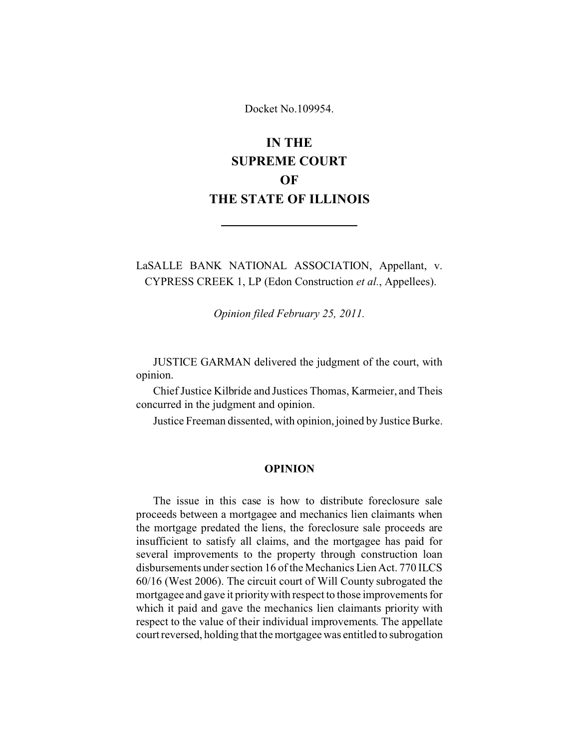Docket No.109954.

# **IN THE SUPREME COURT OF THE STATE OF ILLINOIS**

LaSALLE BANK NATIONAL ASSOCIATION, Appellant, v. CYPRESS CREEK 1, LP (Edon Construction *et al.*, Appellees).

*Opinion filed February 25, 2011.*

JUSTICE GARMAN delivered the judgment of the court, with opinion.

Chief Justice Kilbride and Justices Thomas, Karmeier, and Theis concurred in the judgment and opinion.

Justice Freeman dissented, with opinion, joined by Justice Burke.

## **OPINION**

The issue in this case is how to distribute foreclosure sale proceeds between a mortgagee and mechanics lien claimants when the mortgage predated the liens, the foreclosure sale proceeds are insufficient to satisfy all claims, and the mortgagee has paid for several improvements to the property through construction loan disbursements under section 16 of the Mechanics Lien Act. 770 ILCS 60/16 (West 2006). The circuit court of Will County subrogated the mortgagee and gave it priority with respect to those improvements for which it paid and gave the mechanics lien claimants priority with respect to the value of their individual improvements. The appellate court reversed, holding that the mortgagee was entitled to subrogation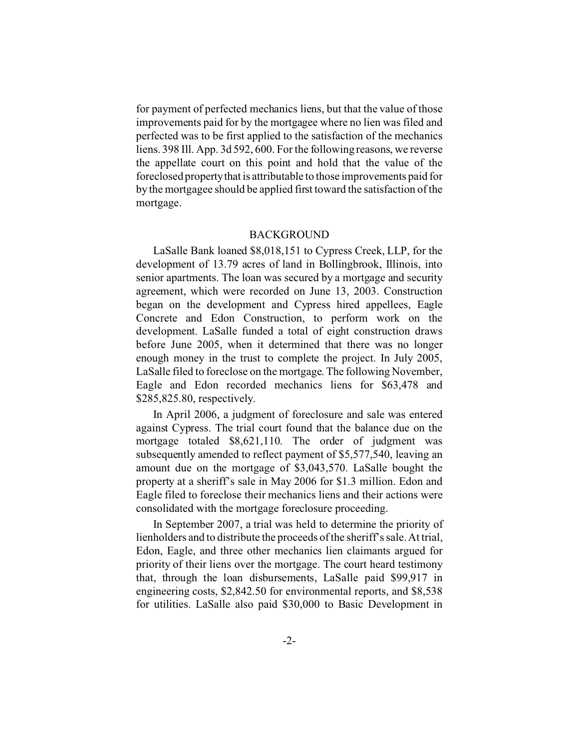for payment of perfected mechanics liens, but that the value of those improvements paid for by the mortgagee where no lien was filed and perfected was to be first applied to the satisfaction of the mechanics liens. 398 Ill. App. 3d 592, 600. For the following reasons, we reverse the appellate court on this point and hold that the value of the foreclosed propertythat is attributable to those improvements paid for by the mortgagee should be applied first toward the satisfaction of the mortgage.

### BACKGROUND

LaSalle Bank loaned \$8,018,151 to Cypress Creek, LLP, for the development of 13.79 acres of land in Bollingbrook, Illinois, into senior apartments. The loan was secured by a mortgage and security agreement, which were recorded on June 13, 2003. Construction began on the development and Cypress hired appellees, Eagle Concrete and Edon Construction, to perform work on the development. LaSalle funded a total of eight construction draws before June 2005, when it determined that there was no longer enough money in the trust to complete the project. In July 2005, LaSalle filed to foreclose on the mortgage. The following November, Eagle and Edon recorded mechanics liens for \$63,478 and \$285,825.80, respectively.

In April 2006, a judgment of foreclosure and sale was entered against Cypress. The trial court found that the balance due on the mortgage totaled \$8,621,110. The order of judgment was subsequently amended to reflect payment of \$5,577,540, leaving an amount due on the mortgage of \$3,043,570. LaSalle bought the property at a sheriff's sale in May 2006 for \$1.3 million. Edon and Eagle filed to foreclose their mechanics liens and their actions were consolidated with the mortgage foreclosure proceeding.

In September 2007, a trial was held to determine the priority of lienholders and to distribute the proceeds of the sheriff's sale. At trial, Edon, Eagle, and three other mechanics lien claimants argued for priority of their liens over the mortgage. The court heard testimony that, through the loan disbursements, LaSalle paid \$99,917 in engineering costs, \$2,842.50 for environmental reports, and \$8,538 for utilities. LaSalle also paid \$30,000 to Basic Development in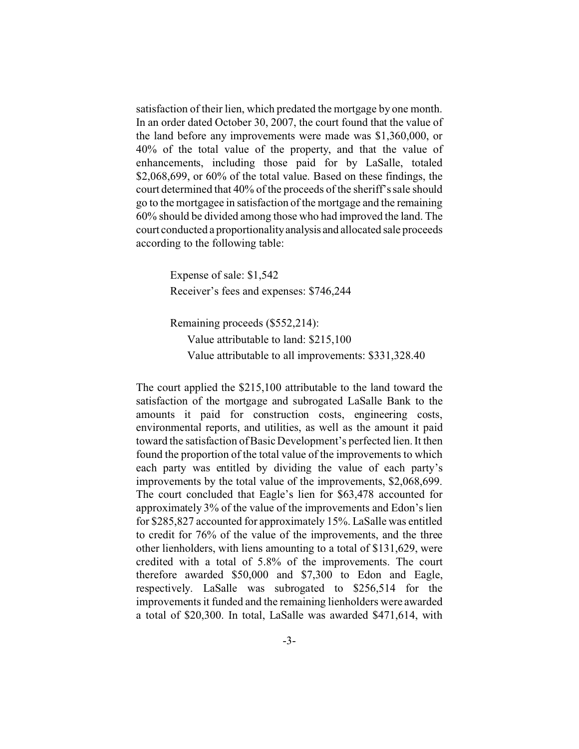satisfaction of their lien, which predated the mortgage by one month. In an order dated October 30, 2007, the court found that the value of the land before any improvements were made was \$1,360,000, or 40% of the total value of the property, and that the value of enhancements, including those paid for by LaSalle, totaled \$2,068,699, or 60% of the total value. Based on these findings, the court determined that 40% of the proceeds of the sheriff's sale should go to the mortgagee in satisfaction of the mortgage and the remaining 60% should be divided among those who had improved the land. The court conducted a proportionality analysis and allocated sale proceeds according to the following table:

> Expense of sale: \$1,542 Receiver's fees and expenses: \$746,244

Remaining proceeds (\$552,214): Value attributable to land: \$215,100 Value attributable to all improvements: \$331,328.40

The court applied the \$215,100 attributable to the land toward the satisfaction of the mortgage and subrogated LaSalle Bank to the amounts it paid for construction costs, engineering costs, environmental reports, and utilities, as well as the amount it paid toward the satisfaction of Basic Development's perfected lien. It then found the proportion of the total value of the improvements to which each party was entitled by dividing the value of each party's improvements by the total value of the improvements, \$2,068,699. The court concluded that Eagle's lien for \$63,478 accounted for approximately 3% of the value of the improvements and Edon's lien for \$285,827 accounted for approximately 15%. LaSalle was entitled to credit for 76% of the value of the improvements, and the three other lienholders, with liens amounting to a total of \$131,629, were credited with a total of 5.8% of the improvements. The court therefore awarded \$50,000 and \$7,300 to Edon and Eagle, respectively. LaSalle was subrogated to \$256,514 for the improvements it funded and the remaining lienholders were awarded a total of \$20,300. In total, LaSalle was awarded \$471,614, with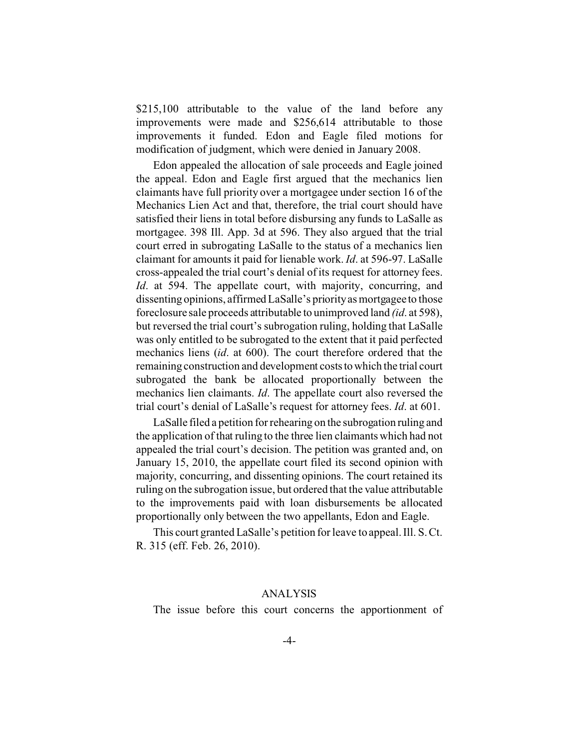\$215,100 attributable to the value of the land before any improvements were made and \$256,614 attributable to those improvements it funded. Edon and Eagle filed motions for modification of judgment, which were denied in January 2008.

Edon appealed the allocation of sale proceeds and Eagle joined the appeal. Edon and Eagle first argued that the mechanics lien claimants have full priority over a mortgagee under section 16 of the Mechanics Lien Act and that, therefore, the trial court should have satisfied their liens in total before disbursing any funds to LaSalle as mortgagee. 398 Ill. App. 3d at 596. They also argued that the trial court erred in subrogating LaSalle to the status of a mechanics lien claimant for amounts it paid for lienable work. *Id*. at 596-97. LaSalle cross-appealed the trial court's denial of its request for attorney fees. *Id*. at 594. The appellate court, with majority, concurring, and dissenting opinions, affirmed LaSalle's priority as mortgagee to those foreclosure sale proceeds attributable to unimproved land *(id*. at 598), but reversed the trial court's subrogation ruling, holding that LaSalle was only entitled to be subrogated to the extent that it paid perfected mechanics liens (*id*. at 600). The court therefore ordered that the remaining construction and development costs to which the trial court subrogated the bank be allocated proportionally between the mechanics lien claimants. *Id*. The appellate court also reversed the trial court's denial of LaSalle's request for attorney fees. *Id*. at 601.

LaSalle filed a petition for rehearing on the subrogation ruling and the application of that ruling to the three lien claimants which had not appealed the trial court's decision. The petition was granted and, on January 15, 2010, the appellate court filed its second opinion with majority, concurring, and dissenting opinions. The court retained its ruling on the subrogation issue, but ordered that the value attributable to the improvements paid with loan disbursements be allocated proportionally only between the two appellants, Edon and Eagle.

This court granted LaSalle's petition for leave to appeal. Ill. S. Ct. R. 315 (eff. Feb. 26, 2010).

## ANALYSIS

The issue before this court concerns the apportionment of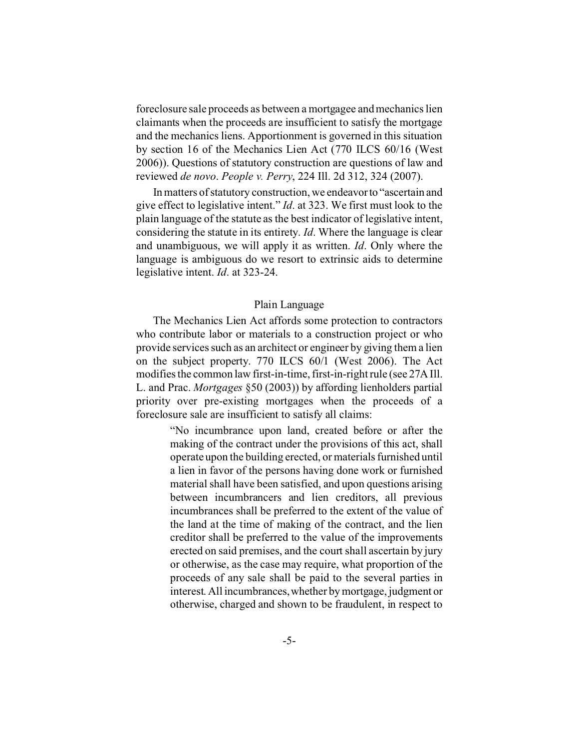foreclosure sale proceeds as between a mortgagee and mechanics lien claimants when the proceeds are insufficient to satisfy the mortgage and the mechanics liens. Apportionment is governed in this situation by section 16 of the Mechanics Lien Act (770 ILCS 60/16 (West 2006)). Questions of statutory construction are questions of law and reviewed *de novo*. *People v. Perry*, 224 Ill. 2d 312, 324 (2007).

In matters of statutory construction, we endeavorto "ascertain and give effect to legislative intent." *Id*. at 323. We first must look to the plain language of the statute as the best indicator of legislative intent, considering the statute in its entirety. *Id*. Where the language is clear and unambiguous, we will apply it as written. *Id*. Only where the language is ambiguous do we resort to extrinsic aids to determine legislative intent. *Id*. at 323-24.

### Plain Language

The Mechanics Lien Act affords some protection to contractors who contribute labor or materials to a construction project or who provide services such as an architect or engineer by giving them a lien on the subject property. 770 ILCS 60/1 (West 2006). The Act modifies the common law first-in-time, first-in-right rule (see 27A Ill. L. and Prac. *Mortgages* §50 (2003)) by affording lienholders partial priority over pre-existing mortgages when the proceeds of a foreclosure sale are insufficient to satisfy all claims:

> "No incumbrance upon land, created before or after the making of the contract under the provisions of this act, shall operate upon the building erected, or materials furnished until a lien in favor of the persons having done work or furnished material shall have been satisfied, and upon questions arising between incumbrancers and lien creditors, all previous incumbrances shall be preferred to the extent of the value of the land at the time of making of the contract, and the lien creditor shall be preferred to the value of the improvements erected on said premises, and the court shall ascertain by jury or otherwise, as the case may require, what proportion of the proceeds of any sale shall be paid to the several parties in interest. All incumbrances,whether by mortgage, judgment or otherwise, charged and shown to be fraudulent, in respect to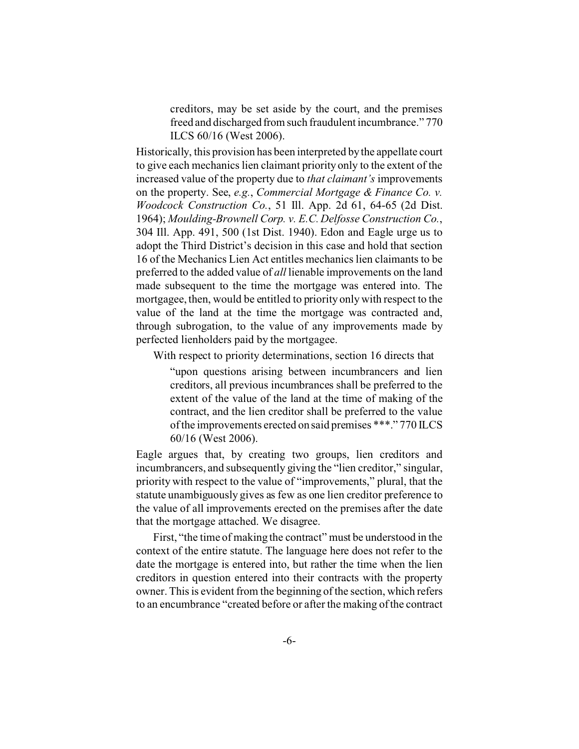creditors, may be set aside by the court, and the premises freed and discharged from such fraudulent incumbrance." 770 ILCS 60/16 (West 2006).

Historically, this provision has been interpreted by the appellate court to give each mechanics lien claimant priority only to the extent of the increased value of the property due to *that claimant's* improvements on the property. See, *e.g.*, *Commercial Mortgage & Finance Co. v. Woodcock Construction Co.*, 51 Ill. App. 2d 61, 64-65 (2d Dist. 1964); *Moulding-Brownell Corp. v. E.C. Delfosse Construction Co.*, 304 Ill. App. 491, 500 (1st Dist. 1940). Edon and Eagle urge us to adopt the Third District's decision in this case and hold that section 16 of the Mechanics Lien Act entitles mechanics lien claimants to be preferred to the added value of *all* lienable improvements on the land made subsequent to the time the mortgage was entered into. The mortgagee, then, would be entitled to priority only with respect to the value of the land at the time the mortgage was contracted and, through subrogation, to the value of any improvements made by perfected lienholders paid by the mortgagee.

With respect to priority determinations, section 16 directs that

"upon questions arising between incumbrancers and lien creditors, all previous incumbrances shall be preferred to the extent of the value of the land at the time of making of the contract, and the lien creditor shall be preferred to the value of the improvements erected on said premises \*\*\*." 770 ILCS 60/16 (West 2006).

Eagle argues that, by creating two groups, lien creditors and incumbrancers, and subsequently giving the "lien creditor," singular, priority with respect to the value of "improvements," plural, that the statute unambiguously gives as few as one lien creditor preference to the value of all improvements erected on the premises after the date that the mortgage attached. We disagree.

First, "the time of making the contract" must be understood in the context of the entire statute. The language here does not refer to the date the mortgage is entered into, but rather the time when the lien creditors in question entered into their contracts with the property owner. This is evident from the beginning of the section, which refers to an encumbrance "created before or after the making of the contract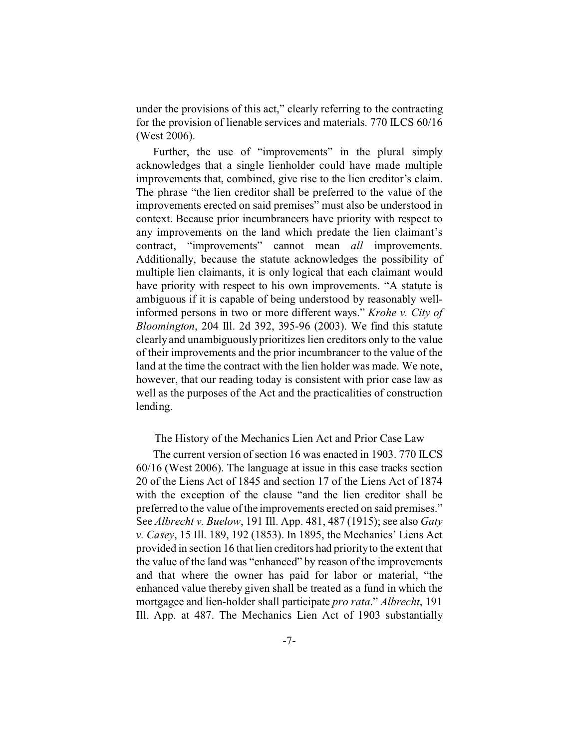under the provisions of this act," clearly referring to the contracting for the provision of lienable services and materials. 770 ILCS 60/16 (West 2006).

Further, the use of "improvements" in the plural simply acknowledges that a single lienholder could have made multiple improvements that, combined, give rise to the lien creditor's claim. The phrase "the lien creditor shall be preferred to the value of the improvements erected on said premises" must also be understood in context. Because prior incumbrancers have priority with respect to any improvements on the land which predate the lien claimant's contract, "improvements" cannot mean *all* improvements. Additionally, because the statute acknowledges the possibility of multiple lien claimants, it is only logical that each claimant would have priority with respect to his own improvements. "A statute is ambiguous if it is capable of being understood by reasonably wellinformed persons in two or more different ways." *Krohe v. City of Bloomington*, 204 Ill. 2d 392, 395-96 (2003). We find this statute clearly and unambiguously prioritizes lien creditors only to the value of their improvements and the prior incumbrancer to the value of the land at the time the contract with the lien holder was made. We note, however, that our reading today is consistent with prior case law as well as the purposes of the Act and the practicalities of construction lending.

#### The History of the Mechanics Lien Act and Prior Case Law

The current version of section 16 was enacted in 1903. 770 ILCS 60/16 (West 2006). The language at issue in this case tracks section 20 of the Liens Act of 1845 and section 17 of the Liens Act of 1874 with the exception of the clause "and the lien creditor shall be preferred to the value of the improvements erected on said premises." See *Albrecht v. Buelow*, 191 Ill. App. 481, 487 (1915); see also *Gaty v. Casey*, 15 Ill. 189, 192 (1853). In 1895, the Mechanics' Liens Act provided in section 16 that lien creditors had priority to the extent that the value of the land was "enhanced" by reason of the improvements and that where the owner has paid for labor or material, "the enhanced value thereby given shall be treated as a fund in which the mortgagee and lien-holder shall participate *pro rata*." *Albrecht*, 191 Ill. App. at 487. The Mechanics Lien Act of 1903 substantially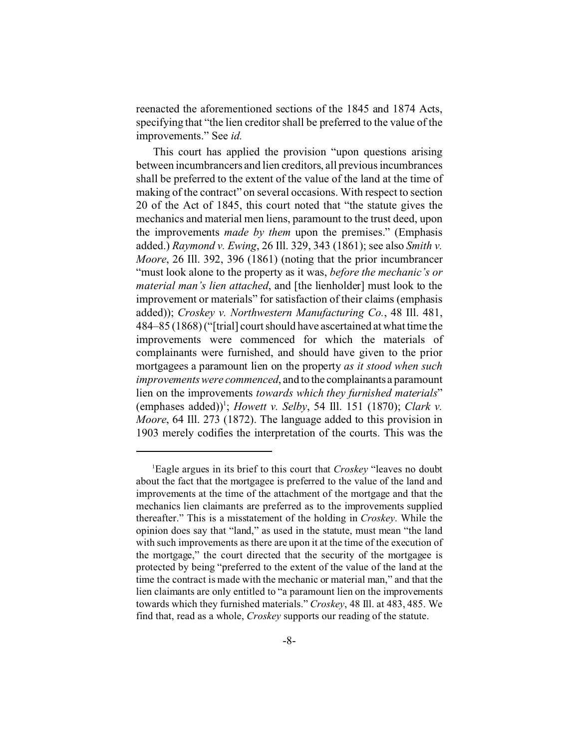reenacted the aforementioned sections of the 1845 and 1874 Acts, specifying that "the lien creditor shall be preferred to the value of the improvements." See *id.*

This court has applied the provision "upon questions arising between incumbrancers and lien creditors, all previous incumbrances shall be preferred to the extent of the value of the land at the time of making of the contract" on several occasions. With respect to section 20 of the Act of 1845, this court noted that "the statute gives the mechanics and material men liens, paramount to the trust deed, upon the improvements *made by them* upon the premises." (Emphasis added.) *Raymond v. Ewing*, 26 Ill. 329, 343 (1861); see also *Smith v. Moore*, 26 Ill. 392, 396 (1861) (noting that the prior incumbrancer "must look alone to the property as it was, *before the mechanic's or material man's lien attached*, and [the lienholder] must look to the improvement or materials" for satisfaction of their claims (emphasis added)); *Croskey v. Northwestern Manufacturing Co.*, 48 Ill. 481, 484–85 (1868) ("[trial] court should have ascertained at what time the improvements were commenced for which the materials of complainants were furnished, and should have given to the prior mortgagees a paramount lien on the property *as it stood when such improvements were commenced*, and to the complainants a paramount lien on the improvements *towards which they furnished materials*" (emphases added)<sup>1</sup>; *Howett v. Selby*, 54 Ill. 151 (1870); *Clark v. Moore*, 64 Ill. 273 (1872). The language added to this provision in 1903 merely codifies the interpretation of the courts. This was the

<sup>1</sup>Eagle argues in its brief to this court that *Croskey* "leaves no doubt about the fact that the mortgagee is preferred to the value of the land and improvements at the time of the attachment of the mortgage and that the mechanics lien claimants are preferred as to the improvements supplied thereafter." This is a misstatement of the holding in *Croskey*. While the opinion does say that "land," as used in the statute, must mean "the land with such improvements as there are upon it at the time of the execution of the mortgage," the court directed that the security of the mortgagee is protected by being "preferred to the extent of the value of the land at the time the contract is made with the mechanic or material man," and that the lien claimants are only entitled to "a paramount lien on the improvements towards which they furnished materials." *Croskey*, 48 Ill. at 483, 485. We find that, read as a whole, *Croskey* supports our reading of the statute.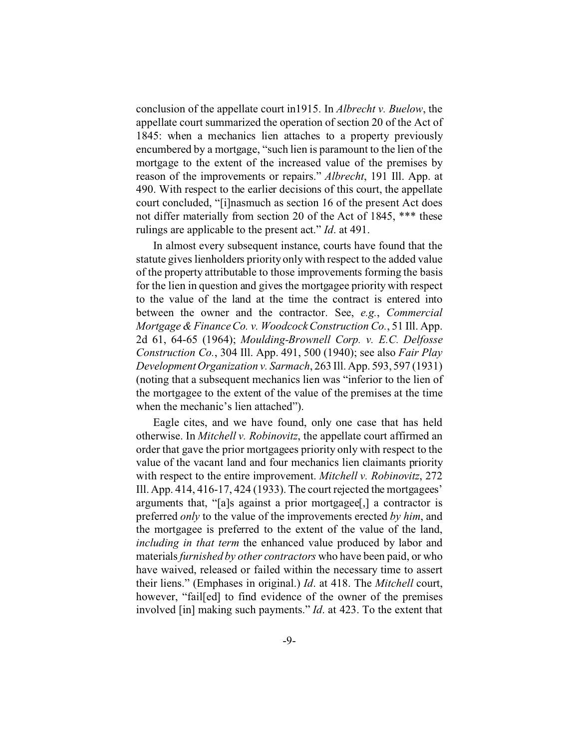conclusion of the appellate court in1915. In *Albrecht v. Buelow*, the appellate court summarized the operation of section 20 of the Act of 1845: when a mechanics lien attaches to a property previously encumbered by a mortgage, "such lien is paramount to the lien of the mortgage to the extent of the increased value of the premises by reason of the improvements or repairs." *Albrecht*, 191 Ill. App. at 490. With respect to the earlier decisions of this court, the appellate court concluded, "[i]nasmuch as section 16 of the present Act does not differ materially from section 20 of the Act of 1845, \*\*\* these rulings are applicable to the present act." *Id*. at 491.

In almost every subsequent instance, courts have found that the statute gives lienholders priority only with respect to the added value of the property attributable to those improvements forming the basis for the lien in question and gives the mortgagee priority with respect to the value of the land at the time the contract is entered into between the owner and the contractor. See, *e.g.*, *Commercial Mortgage & Finance Co. v. Woodcock Construction Co.*, 51 Ill. App. 2d 61, 64-65 (1964); *Moulding-Brownell Corp. v. E.C. Delfosse Construction Co.*, 304 Ill. App. 491, 500 (1940); see also *Fair Play Development Organization v. Sarmach*, 263 Ill. App. 593, 597 (1931) (noting that a subsequent mechanics lien was "inferior to the lien of the mortgagee to the extent of the value of the premises at the time when the mechanic's lien attached").

Eagle cites, and we have found, only one case that has held otherwise. In *Mitchell v. Robinovitz*, the appellate court affirmed an order that gave the prior mortgagees priority only with respect to the value of the vacant land and four mechanics lien claimants priority with respect to the entire improvement. *Mitchell v. Robinovitz*, 272 Ill. App. 414, 416-17, 424 (1933). The court rejected the mortgagees' arguments that, "[a]s against a prior mortgagee[,] a contractor is preferred *only* to the value of the improvements erected *by him*, and the mortgagee is preferred to the extent of the value of the land, *including in that term* the enhanced value produced by labor and materials*furnished by other contractors* who have been paid, or who have waived, released or failed within the necessary time to assert their liens." (Emphases in original.) *Id*. at 418. The *Mitchell* court, however, "fail[ed] to find evidence of the owner of the premises involved [in] making such payments." *Id*. at 423. To the extent that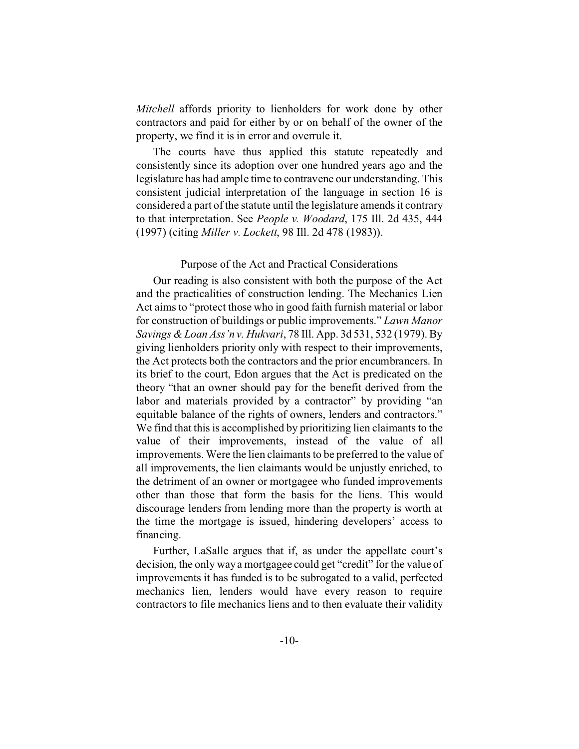*Mitchell* affords priority to lienholders for work done by other contractors and paid for either by or on behalf of the owner of the property, we find it is in error and overrule it.

The courts have thus applied this statute repeatedly and consistently since its adoption over one hundred years ago and the legislature has had ample time to contravene our understanding. This consistent judicial interpretation of the language in section 16 is considered a part of the statute until the legislature amends it contrary to that interpretation. See *People v. Woodard*, 175 Ill. 2d 435, 444 (1997) (citing *Miller v. Lockett*, 98 Ill. 2d 478 (1983)).

#### Purpose of the Act and Practical Considerations

Our reading is also consistent with both the purpose of the Act and the practicalities of construction lending. The Mechanics Lien Act aims to "protect those who in good faith furnish material or labor for construction of buildings or public improvements." *Lawn Manor Savings & Loan Ass'n v. Hukvari*, 78 Ill. App. 3d 531, 532 (1979). By giving lienholders priority only with respect to their improvements, the Act protects both the contractors and the prior encumbrancers. In its brief to the court, Edon argues that the Act is predicated on the theory "that an owner should pay for the benefit derived from the labor and materials provided by a contractor" by providing "an equitable balance of the rights of owners, lenders and contractors." We find that this is accomplished by prioritizing lien claimants to the value of their improvements, instead of the value of all improvements. Were the lien claimants to be preferred to the value of all improvements, the lien claimants would be unjustly enriched, to the detriment of an owner or mortgagee who funded improvements other than those that form the basis for the liens. This would discourage lenders from lending more than the property is worth at the time the mortgage is issued, hindering developers' access to financing.

Further, LaSalle argues that if, as under the appellate court's decision, the only way a mortgagee could get "credit" for the value of improvements it has funded is to be subrogated to a valid, perfected mechanics lien, lenders would have every reason to require contractors to file mechanics liens and to then evaluate their validity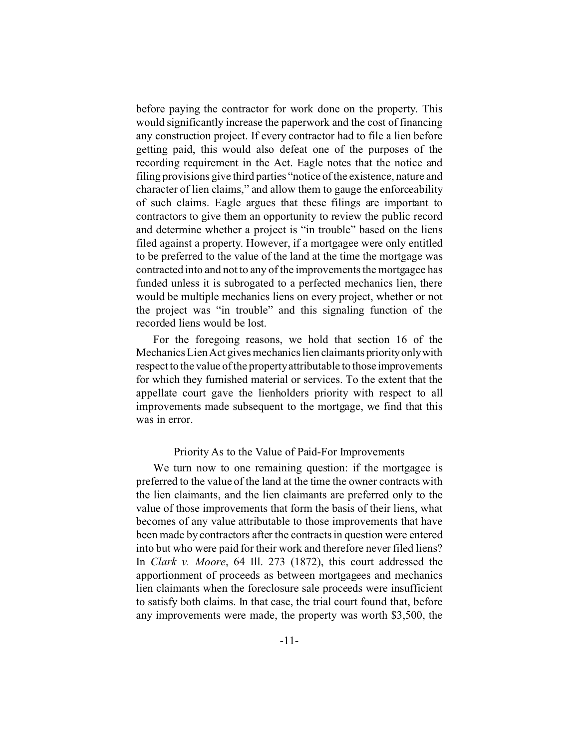before paying the contractor for work done on the property. This would significantly increase the paperwork and the cost of financing any construction project. If every contractor had to file a lien before getting paid, this would also defeat one of the purposes of the recording requirement in the Act. Eagle notes that the notice and filing provisions give third parties "notice of the existence, nature and character of lien claims," and allow them to gauge the enforceability of such claims. Eagle argues that these filings are important to contractors to give them an opportunity to review the public record and determine whether a project is "in trouble" based on the liens filed against a property. However, if a mortgagee were only entitled to be preferred to the value of the land at the time the mortgage was contracted into and not to any of the improvements the mortgagee has funded unless it is subrogated to a perfected mechanics lien, there would be multiple mechanics liens on every project, whether or not the project was "in trouble" and this signaling function of the recorded liens would be lost.

For the foregoing reasons, we hold that section 16 of the Mechanics Lien Act gives mechanics lien claimants priorityonlywith respect to the value of the property attributable to those improvements for which they furnished material or services. To the extent that the appellate court gave the lienholders priority with respect to all improvements made subsequent to the mortgage, we find that this was in error.

## Priority As to the Value of Paid-For Improvements

We turn now to one remaining question: if the mortgagee is preferred to the value of the land at the time the owner contracts with the lien claimants, and the lien claimants are preferred only to the value of those improvements that form the basis of their liens, what becomes of any value attributable to those improvements that have been made by contractors after the contracts in question were entered into but who were paid for their work and therefore never filed liens? In *Clark v. Moore*, 64 Ill. 273 (1872), this court addressed the apportionment of proceeds as between mortgagees and mechanics lien claimants when the foreclosure sale proceeds were insufficient to satisfy both claims. In that case, the trial court found that, before any improvements were made, the property was worth \$3,500, the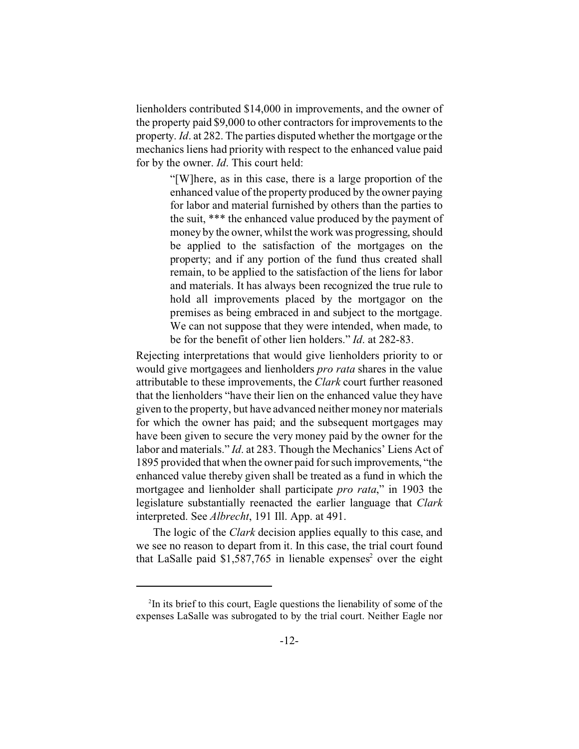lienholders contributed \$14,000 in improvements, and the owner of the property paid \$9,000 to other contractors for improvements to the property. *Id*. at 282. The parties disputed whether the mortgage or the mechanics liens had priority with respect to the enhanced value paid for by the owner. *Id*. This court held:

> "[W]here, as in this case, there is a large proportion of the enhanced value of the property produced by the owner paying for labor and material furnished by others than the parties to the suit, \*\*\* the enhanced value produced by the payment of money by the owner, whilst the work was progressing, should be applied to the satisfaction of the mortgages on the property; and if any portion of the fund thus created shall remain, to be applied to the satisfaction of the liens for labor and materials. It has always been recognized the true rule to hold all improvements placed by the mortgagor on the premises as being embraced in and subject to the mortgage. We can not suppose that they were intended, when made, to be for the benefit of other lien holders." *Id*. at 282-83.

Rejecting interpretations that would give lienholders priority to or would give mortgagees and lienholders *pro rata* shares in the value attributable to these improvements, the *Clark* court further reasoned that the lienholders "have their lien on the enhanced value they have given to the property, but have advanced neither money nor materials for which the owner has paid; and the subsequent mortgages may have been given to secure the very money paid by the owner for the labor and materials." *Id*. at 283. Though the Mechanics' Liens Act of 1895 provided that when the owner paid for such improvements, "the enhanced value thereby given shall be treated as a fund in which the mortgagee and lienholder shall participate *pro rata*," in 1903 the legislature substantially reenacted the earlier language that *Clark* interpreted. See *Albrecht*, 191 Ill. App. at 491.

The logic of the *Clark* decision applies equally to this case, and we see no reason to depart from it. In this case, the trial court found that LaSalle paid \$1,587,765 in lienable expenses<sup>2</sup> over the eight

<sup>&</sup>lt;sup>2</sup>In its brief to this court, Eagle questions the lienability of some of the expenses LaSalle was subrogated to by the trial court. Neither Eagle nor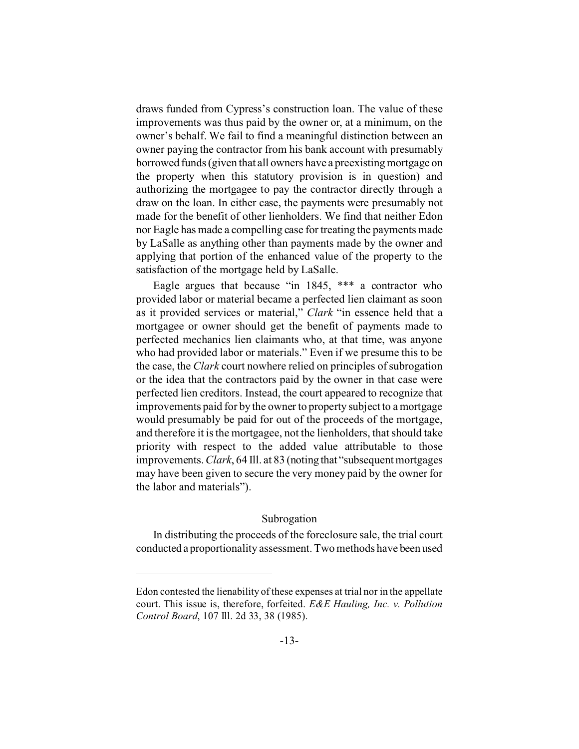draws funded from Cypress's construction loan. The value of these improvements was thus paid by the owner or, at a minimum, on the owner's behalf. We fail to find a meaningful distinction between an owner paying the contractor from his bank account with presumably borrowed funds (given that all owners have a preexisting mortgage on the property when this statutory provision is in question) and authorizing the mortgagee to pay the contractor directly through a draw on the loan. In either case, the payments were presumably not made for the benefit of other lienholders. We find that neither Edon nor Eagle has made a compelling case for treating the payments made by LaSalle as anything other than payments made by the owner and applying that portion of the enhanced value of the property to the satisfaction of the mortgage held by LaSalle.

Eagle argues that because "in 1845, \*\*\* a contractor who provided labor or material became a perfected lien claimant as soon as it provided services or material," *Clark* "in essence held that a mortgagee or owner should get the benefit of payments made to perfected mechanics lien claimants who, at that time, was anyone who had provided labor or materials." Even if we presume this to be the case, the *Clark* court nowhere relied on principles of subrogation or the idea that the contractors paid by the owner in that case were perfected lien creditors. Instead, the court appeared to recognize that improvements paid for by the owner to property subject to a mortgage would presumably be paid for out of the proceeds of the mortgage, and therefore it is the mortgagee, not the lienholders, that should take priority with respect to the added value attributable to those improvements.*Clark*, 64 Ill. at 83 (noting that "subsequent mortgages may have been given to secure the very money paid by the owner for the labor and materials").

## Subrogation

In distributing the proceeds of the foreclosure sale, the trial court conducted a proportionality assessment. Two methods have been used

Edon contested the lienability of these expenses at trial nor in the appellate court. This issue is, therefore, forfeited. *E&E Hauling, Inc. v. Pollution Control Board*, 107 Ill. 2d 33, 38 (1985).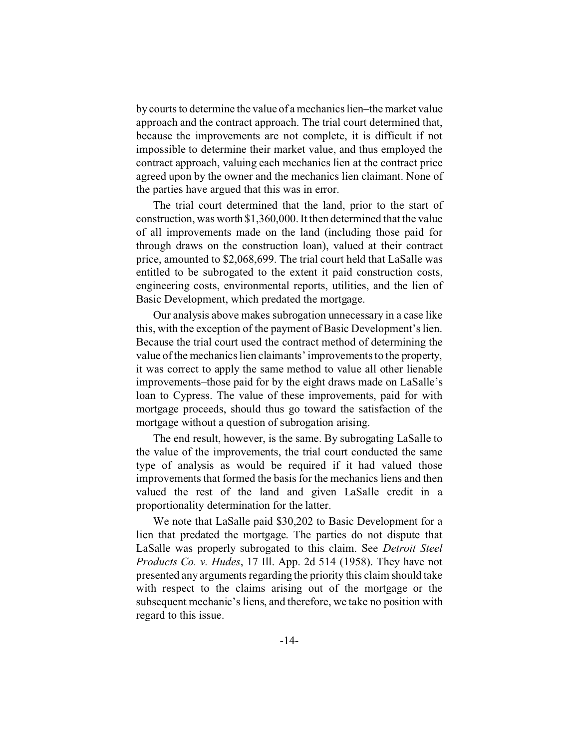by courts to determine the value of a mechanics lien–the market value approach and the contract approach. The trial court determined that, because the improvements are not complete, it is difficult if not impossible to determine their market value, and thus employed the contract approach, valuing each mechanics lien at the contract price agreed upon by the owner and the mechanics lien claimant. None of the parties have argued that this was in error.

The trial court determined that the land, prior to the start of construction, was worth \$1,360,000. It then determined that the value of all improvements made on the land (including those paid for through draws on the construction loan), valued at their contract price, amounted to \$2,068,699. The trial court held that LaSalle was entitled to be subrogated to the extent it paid construction costs, engineering costs, environmental reports, utilities, and the lien of Basic Development, which predated the mortgage.

Our analysis above makes subrogation unnecessary in a case like this, with the exception of the payment of Basic Development's lien. Because the trial court used the contract method of determining the value of the mechanics lien claimants' improvements to the property, it was correct to apply the same method to value all other lienable improvements–those paid for by the eight draws made on LaSalle's loan to Cypress. The value of these improvements, paid for with mortgage proceeds, should thus go toward the satisfaction of the mortgage without a question of subrogation arising.

The end result, however, is the same. By subrogating LaSalle to the value of the improvements, the trial court conducted the same type of analysis as would be required if it had valued those improvements that formed the basis for the mechanics liens and then valued the rest of the land and given LaSalle credit in a proportionality determination for the latter.

We note that LaSalle paid \$30,202 to Basic Development for a lien that predated the mortgage. The parties do not dispute that LaSalle was properly subrogated to this claim. See *Detroit Steel Products Co. v. Hudes*, 17 Ill. App. 2d 514 (1958). They have not presented any arguments regarding the priority this claim should take with respect to the claims arising out of the mortgage or the subsequent mechanic's liens, and therefore, we take no position with regard to this issue.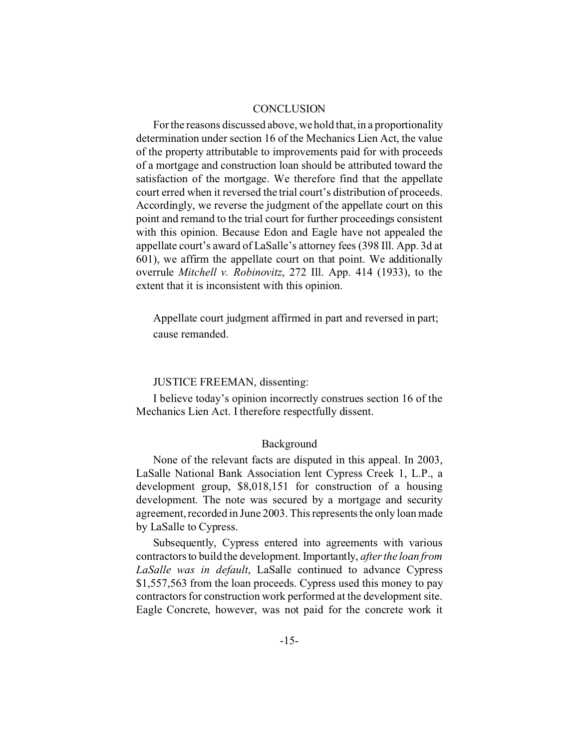## **CONCLUSION**

For the reasons discussed above, we hold that, in a proportionality determination under section 16 of the Mechanics Lien Act, the value of the property attributable to improvements paid for with proceeds of a mortgage and construction loan should be attributed toward the satisfaction of the mortgage. We therefore find that the appellate court erred when it reversed the trial court's distribution of proceeds. Accordingly, we reverse the judgment of the appellate court on this point and remand to the trial court for further proceedings consistent with this opinion. Because Edon and Eagle have not appealed the appellate court's award of LaSalle's attorney fees (398 Ill. App. 3d at 601), we affirm the appellate court on that point. We additionally overrule *Mitchell v. Robinovitz*, 272 Ill. App. 414 (1933), to the extent that it is inconsistent with this opinion.

Appellate court judgment affirmed in part and reversed in part; cause remanded.

## JUSTICE FREEMAN, dissenting:

I believe today's opinion incorrectly construes section 16 of the Mechanics Lien Act. I therefore respectfully dissent.

#### Background

None of the relevant facts are disputed in this appeal. In 2003, LaSalle National Bank Association lent Cypress Creek 1, L.P., a development group, \$8,018,151 for construction of a housing development. The note was secured by a mortgage and security agreement, recorded in June 2003. This represents the only loan made by LaSalle to Cypress.

Subsequently, Cypress entered into agreements with various contractors to build the development. Importantly, *after the loan from LaSalle was in default*, LaSalle continued to advance Cypress \$1,557,563 from the loan proceeds. Cypress used this money to pay contractors for construction work performed at the development site. Eagle Concrete, however, was not paid for the concrete work it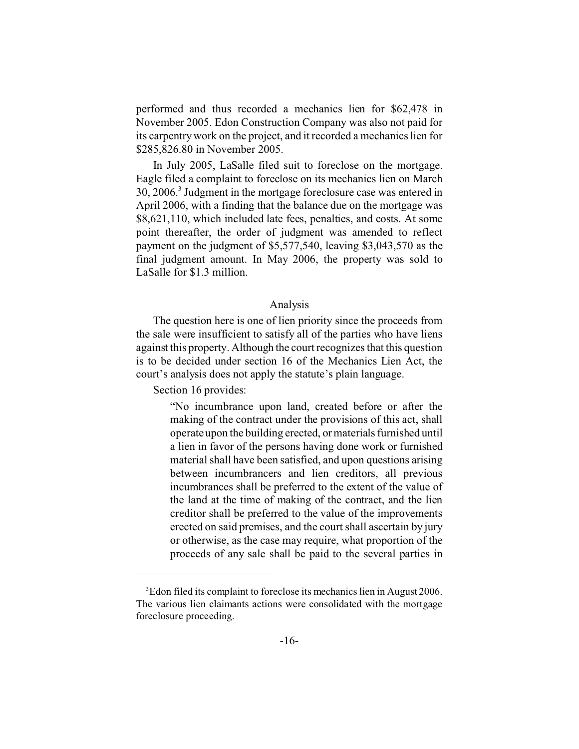performed and thus recorded a mechanics lien for \$62,478 in November 2005. Edon Construction Company was also not paid for its carpentry work on the project, and it recorded a mechanics lien for \$285,826.80 in November 2005.

In July 2005, LaSalle filed suit to foreclose on the mortgage. Eagle filed a complaint to foreclose on its mechanics lien on March 30, 2006.<sup>3</sup> Judgment in the mortgage foreclosure case was entered in April 2006, with a finding that the balance due on the mortgage was \$8,621,110, which included late fees, penalties, and costs. At some point thereafter, the order of judgment was amended to reflect payment on the judgment of \$5,577,540, leaving \$3,043,570 as the final judgment amount. In May 2006, the property was sold to LaSalle for \$1.3 million.

#### Analysis

The question here is one of lien priority since the proceeds from the sale were insufficient to satisfy all of the parties who have liens against this property. Although the court recognizes that this question is to be decided under section 16 of the Mechanics Lien Act, the court's analysis does not apply the statute's plain language.

Section 16 provides:

"No incumbrance upon land, created before or after the making of the contract under the provisions of this act, shall operate upon the building erected, or materials furnished until a lien in favor of the persons having done work or furnished material shall have been satisfied, and upon questions arising between incumbrancers and lien creditors, all previous incumbrances shall be preferred to the extent of the value of the land at the time of making of the contract, and the lien creditor shall be preferred to the value of the improvements erected on said premises, and the court shall ascertain by jury or otherwise, as the case may require, what proportion of the proceeds of any sale shall be paid to the several parties in

<sup>3</sup>Edon filed its complaint to foreclose its mechanics lien in August 2006. The various lien claimants actions were consolidated with the mortgage foreclosure proceeding.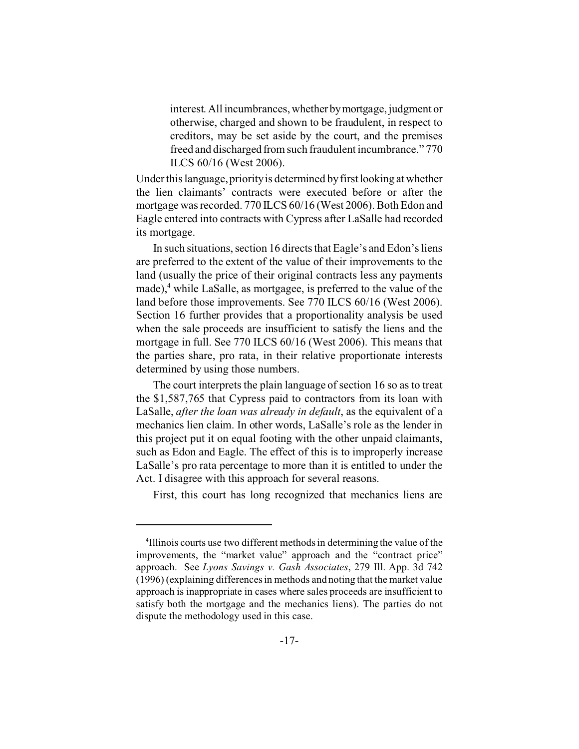interest. All incumbrances, whether bymortgage, judgment or otherwise, charged and shown to be fraudulent, in respect to creditors, may be set aside by the court, and the premises freed and discharged from such fraudulent incumbrance." 770 ILCS 60/16 (West 2006).

Under this language, priority is determined by first looking at whether the lien claimants' contracts were executed before or after the mortgage was recorded. 770 ILCS 60/16 (West 2006). Both Edon and Eagle entered into contracts with Cypress after LaSalle had recorded its mortgage.

In such situations, section 16 directs that Eagle's and Edon's liens are preferred to the extent of the value of their improvements to the land (usually the price of their original contracts less any payments made),<sup>4</sup> while LaSalle, as mortgagee, is preferred to the value of the land before those improvements. See 770 ILCS 60/16 (West 2006). Section 16 further provides that a proportionality analysis be used when the sale proceeds are insufficient to satisfy the liens and the mortgage in full. See 770 ILCS 60/16 (West 2006). This means that the parties share, pro rata, in their relative proportionate interests determined by using those numbers.

The court interprets the plain language of section 16 so as to treat the \$1,587,765 that Cypress paid to contractors from its loan with LaSalle, *after the loan was already in default*, as the equivalent of a mechanics lien claim. In other words, LaSalle's role as the lender in this project put it on equal footing with the other unpaid claimants, such as Edon and Eagle. The effect of this is to improperly increase LaSalle's pro rata percentage to more than it is entitled to under the Act. I disagree with this approach for several reasons.

First, this court has long recognized that mechanics liens are

<sup>4</sup> Illinois courts use two different methods in determining the value of the improvements, the "market value" approach and the "contract price" approach. See *Lyons Savings v. Gash Associates*, 279 Ill. App. 3d 742 (1996) (explaining differences in methods and noting that the market value approach is inappropriate in cases where sales proceeds are insufficient to satisfy both the mortgage and the mechanics liens). The parties do not dispute the methodology used in this case.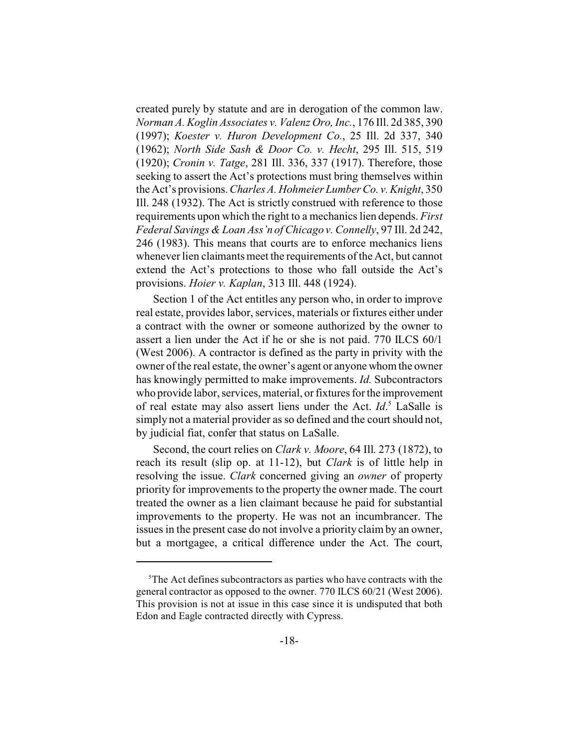created purely by statute and are in derogation of the common law. *Norman A. Koglin Associates v. Valenz Oro, Inc.*, 176 Ill. 2d 385, 390 (1997); *Koester v. Huron Development Co.*, 25 Ill. 2d 337, 340 (1962); *North Side Sash & Door Co. v. Hecht*, 295 Ill. 515, 519 (1920); *Cronin v. Tatge*, 281 Ill. 336, 337 (1917). Therefore, those seeking to assert the Act's protections must bring themselves within the Act's provisions. *Charles A. Hohmeier Lumber Co. v. Knight*, 350 Ill. 248 (1932). The Act is strictly construed with reference to those requirements upon which the right to a mechanics lien depends. *First Federal Savings & Loan Ass'n of Chicago v. Connelly*, 97 Ill. 2d 242, 246 (1983). This means that courts are to enforce mechanics liens whenever lien claimants meet the requirements of the Act, but cannot extend the Act's protections to those who fall outside the Act's provisions. *Hoier v. Kaplan*, 313 Ill. 448 (1924).

Section 1 of the Act entitles any person who, in order to improve real estate, provides labor, services, materials or fixtures either under a contract with the owner or someone authorized by the owner to assert a lien under the Act if he or she is not paid. 770 ILCS 60/1 (West 2006). A contractor is defined as the party in privity with the owner of the real estate, the owner's agent or anyone whom the owner has knowingly permitted to make improvements. *Id.* Subcontractors who provide labor, services, material, or fixtures for the improvement of real estate may also assert liens under the Act. *Id*. <sup>5</sup> LaSalle is simply not a material provider as so defined and the court should not, by judicial fiat, confer that status on LaSalle.

Second, the court relies on *Clark v. Moore*, 64 Ill. 273 (1872), to reach its result (slip op. at 11-12), but *Clark* is of little help in resolving the issue. *Clark* concerned giving an *owner* of property priority for improvements to the property the owner made. The court treated the owner as a lien claimant because he paid for substantial improvements to the property. He was not an incumbrancer. The issues in the present case do not involve a priority claim by an owner, but a mortgagee, a critical difference under the Act. The court,

<sup>5</sup>The Act defines subcontractors as parties who have contracts with the general contractor as opposed to the owner. 770 ILCS 60/21 (West 2006). This provision is not at issue in this case since it is undisputed that both Edon and Eagle contracted directly with Cypress.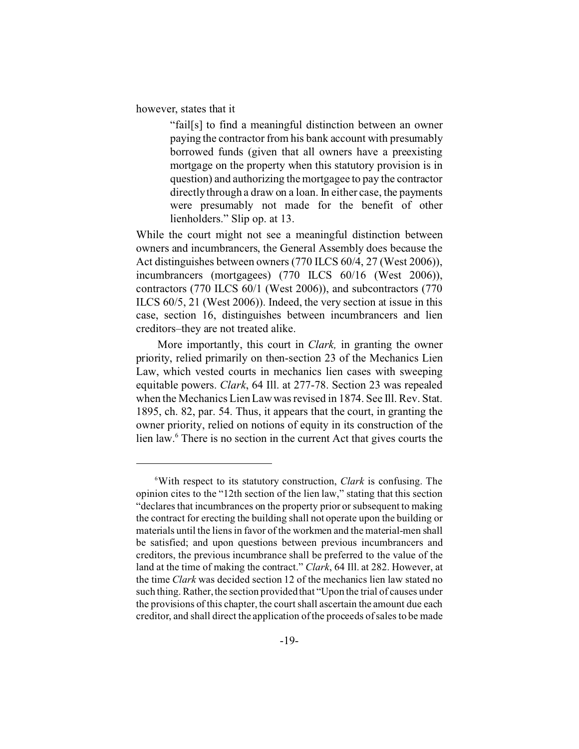however, states that it

"fail[s] to find a meaningful distinction between an owner paying the contractor from his bank account with presumably borrowed funds (given that all owners have a preexisting mortgage on the property when this statutory provision is in question) and authorizing the mortgagee to pay the contractor directly through a draw on a loan. In either case, the payments were presumably not made for the benefit of other lienholders." Slip op. at 13.

While the court might not see a meaningful distinction between owners and incumbrancers, the General Assembly does because the Act distinguishes between owners (770 ILCS 60/4, 27 (West 2006)), incumbrancers (mortgagees) (770 ILCS 60/16 (West 2006)), contractors (770 ILCS 60/1 (West 2006)), and subcontractors (770 ILCS 60/5, 21 (West 2006)). Indeed, the very section at issue in this case, section 16, distinguishes between incumbrancers and lien creditors–they are not treated alike.

 More importantly, this court in *Clark,* in granting the owner priority, relied primarily on then-section 23 of the Mechanics Lien Law, which vested courts in mechanics lien cases with sweeping equitable powers. *Clark*, 64 Ill. at 277-78. Section 23 was repealed when the Mechanics Lien Law was revised in 1874. See Ill. Rev. Stat. 1895, ch. 82, par. 54. Thus, it appears that the court, in granting the owner priority, relied on notions of equity in its construction of the lien law.<sup>6</sup> There is no section in the current Act that gives courts the

<sup>6</sup>With respect to its statutory construction, *Clark* is confusing. The opinion cites to the "12th section of the lien law," stating that this section "declares that incumbrances on the property prior or subsequent to making the contract for erecting the building shall not operate upon the building or materials until the liens in favor of the workmen and the material-men shall be satisfied; and upon questions between previous incumbrancers and creditors, the previous incumbrance shall be preferred to the value of the land at the time of making the contract." *Clark*, 64 Ill. at 282. However, at the time *Clark* was decided section 12 of the mechanics lien law stated no such thing. Rather, the section provided that "Upon the trial of causes under the provisions of this chapter, the court shall ascertain the amount due each creditor, and shall direct the application of the proceeds of sales to be made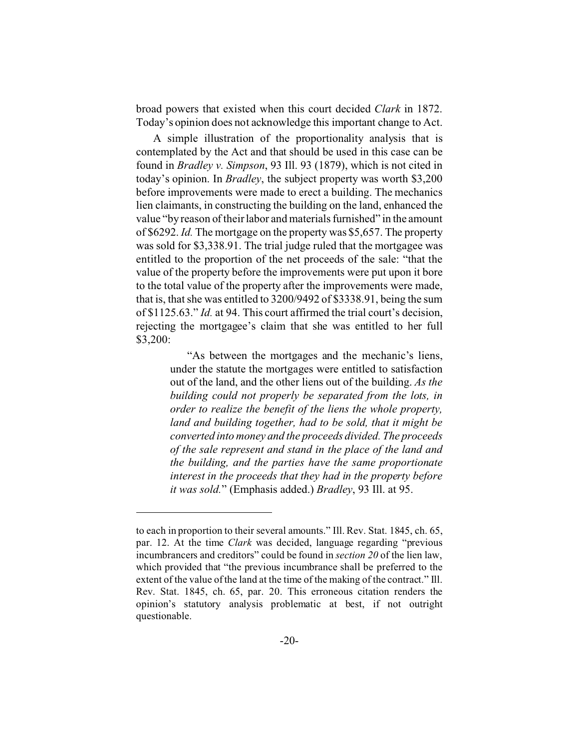broad powers that existed when this court decided *Clark* in 1872. Today's opinion does not acknowledge this important change to Act.

A simple illustration of the proportionality analysis that is contemplated by the Act and that should be used in this case can be found in *Bradley v. Simpson*, 93 Ill. 93 (1879), which is not cited in today's opinion. In *Bradley*, the subject property was worth \$3,200 before improvements were made to erect a building. The mechanics lien claimants, in constructing the building on the land, enhanced the value "by reason of their labor and materials furnished" in the amount of \$6292. *Id.* The mortgage on the property was \$5,657. The property was sold for \$3,338.91. The trial judge ruled that the mortgagee was entitled to the proportion of the net proceeds of the sale: "that the value of the property before the improvements were put upon it bore to the total value of the property after the improvements were made, that is, that she was entitled to 3200/9492 of \$3338.91, being the sum of \$1125.63." *Id.* at 94. This court affirmed the trial court's decision, rejecting the mortgagee's claim that she was entitled to her full \$3,200:

> "As between the mortgages and the mechanic's liens, under the statute the mortgages were entitled to satisfaction out of the land, and the other liens out of the building. *As the building could not properly be separated from the lots, in order to realize the benefit of the liens the whole property, land and building together, had to be sold, that it might be converted into money and the proceeds divided. The proceeds of the sale represent and stand in the place of the land and the building, and the parties have the same proportionate interest in the proceeds that they had in the property before it was sold.*" (Emphasis added.) *Bradley*, 93 Ill. at 95.

to each in proportion to their several amounts." Ill. Rev. Stat. 1845, ch. 65, par. 12. At the time *Clark* was decided, language regarding "previous incumbrancers and creditors" could be found in *section 20* of the lien law, which provided that "the previous incumbrance shall be preferred to the extent of the value of the land at the time of the making of the contract." Ill. Rev. Stat. 1845, ch. 65, par. 20. This erroneous citation renders the opinion's statutory analysis problematic at best, if not outright questionable.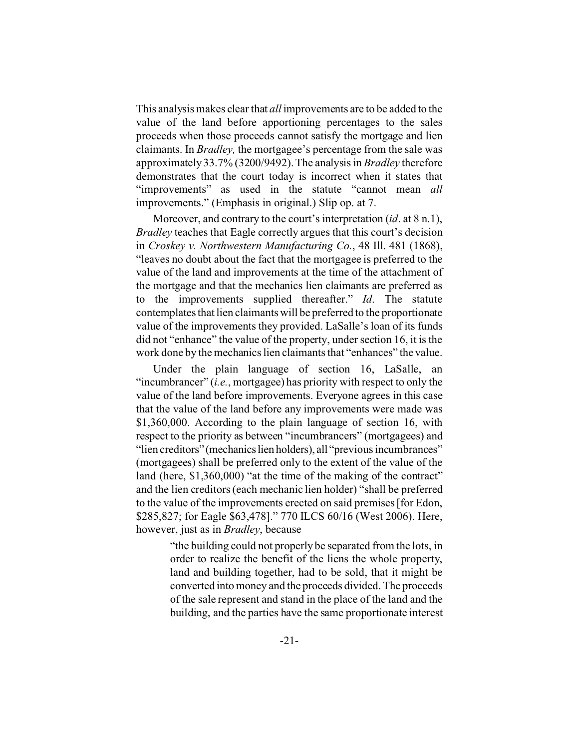This analysis makes clear that *all* improvements are to be added to the value of the land before apportioning percentages to the sales proceeds when those proceeds cannot satisfy the mortgage and lien claimants. In *Bradley,* the mortgagee's percentage from the sale was approximately 33.7% (3200/9492). The analysis in *Bradley* therefore demonstrates that the court today is incorrect when it states that "improvements" as used in the statute "cannot mean *all* improvements." (Emphasis in original.) Slip op. at 7.

Moreover, and contrary to the court's interpretation (*id*. at 8 n.1), *Bradley* teaches that Eagle correctly argues that this court's decision in *Croskey v. Northwestern Manufacturing Co.*, 48 Ill. 481 (1868), "leaves no doubt about the fact that the mortgagee is preferred to the value of the land and improvements at the time of the attachment of the mortgage and that the mechanics lien claimants are preferred as to the improvements supplied thereafter." *Id*. The statute contemplates that lien claimants will be preferred to the proportionate value of the improvements they provided. LaSalle's loan of its funds did not "enhance" the value of the property, under section 16, it is the work done by the mechanics lien claimants that "enhances" the value.

Under the plain language of section 16, LaSalle, an "incumbrancer" (*i.e.*, mortgagee) has priority with respect to only the value of the land before improvements. Everyone agrees in this case that the value of the land before any improvements were made was \$1,360,000. According to the plain language of section 16, with respect to the priority as between "incumbrancers" (mortgagees) and "lien creditors" (mechanics lien holders), all "previous incumbrances" (mortgagees) shall be preferred only to the extent of the value of the land (here, \$1,360,000) "at the time of the making of the contract" and the lien creditors (each mechanic lien holder) "shall be preferred to the value of the improvements erected on said premises [for Edon, \$285,827; for Eagle \$63,478]." 770 ILCS 60/16 (West 2006). Here, however, just as in *Bradley*, because

> "the building could not properly be separated from the lots, in order to realize the benefit of the liens the whole property, land and building together, had to be sold, that it might be converted into money and the proceeds divided. The proceeds of the sale represent and stand in the place of the land and the building, and the parties have the same proportionate interest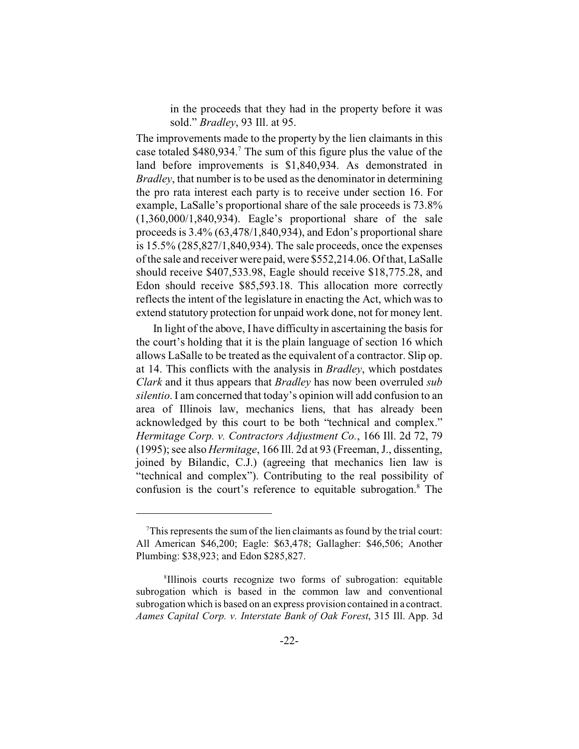in the proceeds that they had in the property before it was sold." *Bradley*, 93 Ill. at 95.

The improvements made to the property by the lien claimants in this case totaled  $$480,934$ .<sup>7</sup> The sum of this figure plus the value of the land before improvements is \$1,840,934. As demonstrated in *Bradley*, that number is to be used as the denominator in determining the pro rata interest each party is to receive under section 16. For example, LaSalle's proportional share of the sale proceeds is 73.8% (1,360,000/1,840,934). Eagle's proportional share of the sale proceeds is 3.4% (63,478/1,840,934), and Edon's proportional share is 15.5% (285,827/1,840,934). The sale proceeds, once the expenses of the sale and receiver were paid, were \$552,214.06. Of that, LaSalle should receive \$407,533.98, Eagle should receive \$18,775.28, and Edon should receive \$85,593.18. This allocation more correctly reflects the intent of the legislature in enacting the Act, which was to extend statutory protection for unpaid work done, not for money lent.

In light of the above, I have difficulty in ascertaining the basis for the court's holding that it is the plain language of section 16 which allows LaSalle to be treated as the equivalent of a contractor. Slip op. at 14. This conflicts with the analysis in *Bradley*, which postdates *Clark* and it thus appears that *Bradley* has now been overruled *sub silentio*. I am concerned that today's opinion will add confusion to an area of Illinois law, mechanics liens, that has already been acknowledged by this court to be both "technical and complex." *Hermitage Corp. v. Contractors Adjustment Co.*, 166 Ill. 2d 72, 79 (1995); see also *Hermitage*, 166 Ill. 2d at 93 (Freeman, J., dissenting, joined by Bilandic, C.J.) (agreeing that mechanics lien law is "technical and complex"). Contributing to the real possibility of confusion is the court's reference to equitable subrogation.<sup>8</sup> The

 $T$ This represents the sum of the lien claimants as found by the trial court: All American \$46,200; Eagle: \$63,478; Gallagher: \$46,506; Another Plumbing: \$38,923; and Edon \$285,827.

<sup>8</sup> Illinois courts recognize two forms of subrogation: equitable subrogation which is based in the common law and conventional subrogation which is based on an express provision contained in a contract. *Aames Capital Corp. v. Interstate Bank of Oak Forest*, 315 Ill. App. 3d